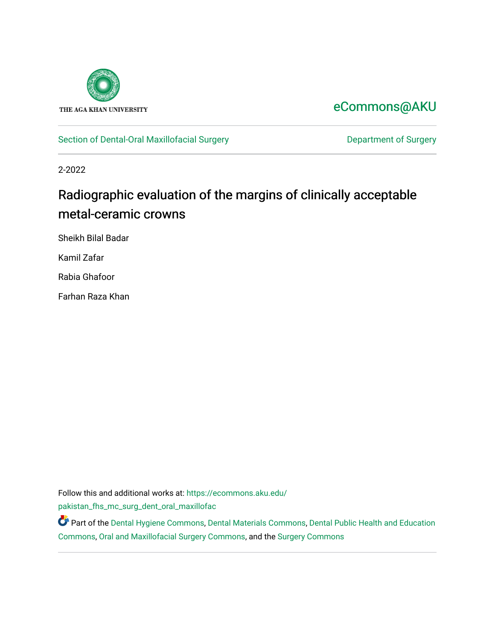

# [eCommons@AKU](https://ecommons.aku.edu/)

[Section of Dental-Oral Maxillofacial Surgery](https://ecommons.aku.edu/pakistan_fhs_mc_surg_dent_oral_maxillofac) **Department of Surgery** Department of Surgery

2-2022

# Radiographic evaluation of the margins of clinically acceptable metal-ceramic crowns

Sheikh Bilal Badar

Kamil Zafar

Rabia Ghafoor

Farhan Raza Khan

Follow this and additional works at: [https://ecommons.aku.edu/](https://ecommons.aku.edu/pakistan_fhs_mc_surg_dent_oral_maxillofac?utm_source=ecommons.aku.edu%2Fpakistan_fhs_mc_surg_dent_oral_maxillofac%2F206&utm_medium=PDF&utm_campaign=PDFCoverPages) [pakistan\\_fhs\\_mc\\_surg\\_dent\\_oral\\_maxillofac](https://ecommons.aku.edu/pakistan_fhs_mc_surg_dent_oral_maxillofac?utm_source=ecommons.aku.edu%2Fpakistan_fhs_mc_surg_dent_oral_maxillofac%2F206&utm_medium=PDF&utm_campaign=PDFCoverPages)

Part of the [Dental Hygiene Commons,](http://network.bepress.com/hgg/discipline/1362?utm_source=ecommons.aku.edu%2Fpakistan_fhs_mc_surg_dent_oral_maxillofac%2F206&utm_medium=PDF&utm_campaign=PDFCoverPages) [Dental Materials Commons](http://network.bepress.com/hgg/discipline/654?utm_source=ecommons.aku.edu%2Fpakistan_fhs_mc_surg_dent_oral_maxillofac%2F206&utm_medium=PDF&utm_campaign=PDFCoverPages), [Dental Public Health and Education](http://network.bepress.com/hgg/discipline/653?utm_source=ecommons.aku.edu%2Fpakistan_fhs_mc_surg_dent_oral_maxillofac%2F206&utm_medium=PDF&utm_campaign=PDFCoverPages)  [Commons](http://network.bepress.com/hgg/discipline/653?utm_source=ecommons.aku.edu%2Fpakistan_fhs_mc_surg_dent_oral_maxillofac%2F206&utm_medium=PDF&utm_campaign=PDFCoverPages), [Oral and Maxillofacial Surgery Commons](http://network.bepress.com/hgg/discipline/656?utm_source=ecommons.aku.edu%2Fpakistan_fhs_mc_surg_dent_oral_maxillofac%2F206&utm_medium=PDF&utm_campaign=PDFCoverPages), and the [Surgery Commons](http://network.bepress.com/hgg/discipline/706?utm_source=ecommons.aku.edu%2Fpakistan_fhs_mc_surg_dent_oral_maxillofac%2F206&utm_medium=PDF&utm_campaign=PDFCoverPages)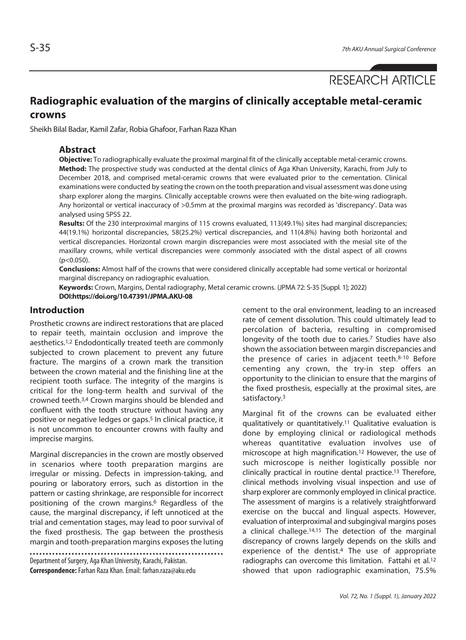RESEARCH ARTICLE

## **Radiographic evaluation of the margins of clinically acceptable metal-ceramic crowns**

Sheikh Bilal Badar, Kamil Zafar, Robia Ghafoor, Farhan Raza Khan

#### **Abstract**

**Objective:** To radiographically evaluate the proximal marginal fit of the clinically acceptable metal-ceramic crowns. **Method:** The prospective study was conducted at the dental clinics of Aga Khan University, Karachi, from July to December 2018, and comprised metal-ceramic crowns that were evaluated prior to the cementation. Clinical examinations were conducted by seating the crown on the tooth preparation and visual assessment was done using sharp explorer along the margins. Clinically acceptable crowns were then evaluated on the bite-wing radiograph. Any horizontal or vertical inaccuracy of >0.5mm at the proximal margins was recorded as 'discrepancy'. Data was analysed using SPSS 22.

**Results:** Of the 230 interproximal margins of 115 crowns evaluated, 113(49.1%) sites had marginal discrepancies; 44(19.1%) horizontal discrepancies, 58(25.2%) vertical discrepancies, and 11(4.8%) having both horizontal and vertical discrepancies. Horizontal crown margin discrepancies were most associated with the mesial site of the maxillary crowns, while vertical discrepancies were commonly associated with the distal aspect of all crowns  $(p<0.050)$ .

**Conclusions:** Almost half of the crowns that were considered clinically acceptable had some vertical or horizontal marginal discrepancy on radiographic evaluation.

**Keywords:** Crown, Margins, Dental radiography, Metal ceramic crowns. (JPMA 72: S-35 [Suppl. 1]; 2022) **DOI:https://doi.org/10.47391/JPMA.AKU-08**

#### **Introduction**

Prosthetic crowns are indirect restorations that are placed to repair teeth, maintain occlusion and improve the aesthetics.1,2 Endodontically treated teeth are commonly subjected to crown placement to prevent any future fracture. The margins of a crown mark the transition between the crown material and the finishing line at the recipient tooth surface. The integrity of the margins is critical for the long-term health and survival of the crowned teeth.3,4 Crown margins should be blended and confluent with the tooth structure without having any positive or negative ledges or gaps.5 In clinical practice, it is not uncommon to encounter crowns with faulty and imprecise margins.

Marginal discrepancies in the crown are mostly observed in scenarios where tooth preparation margins are irregular or missing. Defects in impression-taking, and pouring or laboratory errors, such as distortion in the pattern or casting shrinkage, are responsible for incorrect positioning of the crown margins.<sup>6</sup> Regardless of the cause, the marginal discrepancy, if left unnoticed at the trial and cementation stages, may lead to poor survival of the fixed prosthesis. The gap between the prosthesis margin and tooth-preparation margins exposes the luting

Department of Surgery, Aga Khan University, Karachi, Pakistan. **Correspondence:** Farhan Raza Khan. Email: farhan.raza@aku.edu

cement to the oral environment, leading to an increased rate of cement dissolution. This could ultimately lead to percolation of bacteria, resulting in compromised longevity of the tooth due to caries.7 Studies have also shown the association between margin discrepancies and the presence of caries in adjacent teeth.8-10 Before cementing any crown, the try-in step offers an opportunity to the clinician to ensure that the margins of the fixed prosthesis, especially at the proximal sites, are satisfactory.3

Marginal fit of the crowns can be evaluated either qualitatively or quantitatively.11 Qualitative evaluation is done by employing clinical or radiological methods whereas quantitative evaluation involves use of microscope at high magnification.12 However, the use of such microscope is neither logistically possible nor clinically practical in routine dental practice.13 Therefore, clinical methods involving visual inspection and use of sharp explorer are commonly employed in clinical practice. The assessment of margins is a relatively straightforward exercise on the buccal and lingual aspects. However, evaluation of interproximal and subgingival margins poses a clinical challege.14,15 The detection of the marginal discrepancy of crowns largely depends on the skills and experience of the dentist.4 The use of appropriate radiographs can overcome this limitation. Fattahi et al.12 showed that upon radiographic examination, 75.5%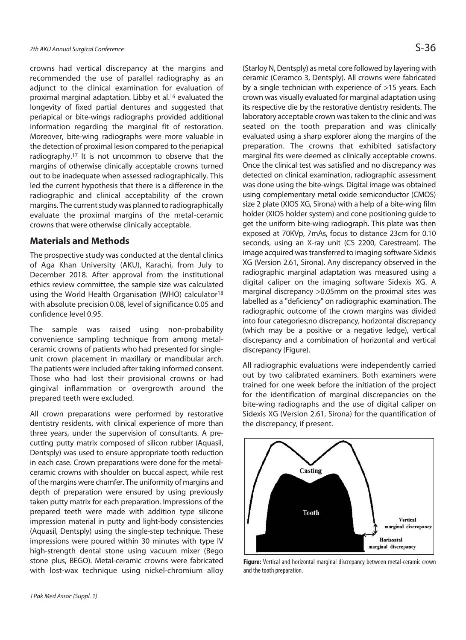crowns had vertical discrepancy at the margins and recommended the use of parallel radiography as an adjunct to the clinical examination for evaluation of proximal marginal adaptation. Libby et al.<sup>16</sup> evaluated the longevity of fixed partial dentures and suggested that periapical or bite-wings radiographs provided additional information regarding the marginal fit of restoration. Moreover, bite-wing radiographs were more valuable in the detection of proximal lesion compared to the periapical radiography.17 It is not uncommon to observe that the margins of otherwise clinically acceptable crowns turned out to be inadequate when assessed radiographically. This led the current hypothesis that there is a difference in the radiographic and clinical acceptability of the crown margins. The current study was planned to radiographically evaluate the proximal margins of the metal-ceramic crowns that were otherwise clinically acceptable.

#### **Materials and Methods**

The prospective study was conducted at the dental clinics of Aga Khan University (AKU), Karachi, from July to December 2018. After approval from the institutional ethics review committee, the sample size was calculated using the World Health Organisation (WHO) calculator<sup>18</sup> with absolute precision 0.08, level of significance 0.05 and confidence level 0.95.

The sample was raised using non-probability convenience sampling technique from among metalceramic crowns of patients who had presented for singleunit crown placement in maxillary or mandibular arch. The patients were included after taking informed consent. Those who had lost their provisional crowns or had gingival inflammation or overgrowth around the prepared teeth were excluded.

All crown preparations were performed by restorative dentistry residents, with clinical experience of more than three years, under the supervision of consultants. A precutting putty matrix composed of silicon rubber (Aquasil, Dentsply) was used to ensure appropriate tooth reduction in each case. Crown preparations were done for the metalceramic crowns with shoulder on buccal aspect, while rest of the margins were chamfer. The uniformity of margins and depth of preparation were ensured by using previously taken putty matrix for each preparation. Impressions of the prepared teeth were made with addition type silicone impression material in putty and light-body consistencies (Aquasil, Dentsply) using the single-step technique. These impressions were poured within 30 minutes with type IV high-strength dental stone using vacuum mixer (Bego stone plus, BEGO). Metal-ceramic crowns were fabricated with lost-wax technique using nickel-chromium alloy

(Starloy N, Dentsply) as metal core followed by layering with ceramic (Ceramco 3, Dentsply). All crowns were fabricated by a single technician with experience of >15 years. Each crown was visually evaluated for marginal adaptation using its respective die by the restorative dentistry residents. The laboratory acceptable crown was taken to the clinic and was seated on the tooth preparation and was clinically evaluated using a sharp explorer along the margins of the preparation. The crowns that exhibited satisfactory marginal fits were deemed as clinically acceptable crowns. Once the clinical test was satisfied and no discrepancy was detected on clinical examination, radiographic assessment was done using the bite-wings. Digital image was obtained using complementary metal oxide semiconductor (CMOS) size 2 plate (XIOS XG, Sirona) with a help of a bite-wing film holder (XIOS holder system) and cone positioning guide to get the uniform bite-wing radiograph. This plate was then exposed at 70KVp, 7mAs, focus to distance 23cm for 0.10 seconds, using an X-ray unit (CS 2200, Carestream). The image acquired was transferred to imaging software Sidexis XG (Version 2.61, Sirona). Any discrepancy observed in the radiographic marginal adaptation was measured using a digital caliper on the imaging software Sidexis XG. A marginal discrepancy >0.05mm on the proximal sites was labelled as a "deficiency" on radiographic examination. The radiographic outcome of the crown margins was divided into four categories;no discrepancy, horizontal discrepancy (which may be a positive or a negative ledge), vertical discrepancy and a combination of horizontal and vertical discrepancy (Figure).

All radiographic evaluations were independently carried out by two calibrated examiners. Both examiners were trained for one week before the initiation of the project for the identification of marginal discrepancies on the bite-wing radiographs and the use of digital caliper on Sidexis XG (Version 2.61, Sirona) for the quantification of the discrepancy, if present.



**Figure:** Vertical and horizontal marginal discrepancy between metal-ceramic crown and the tooth preparation.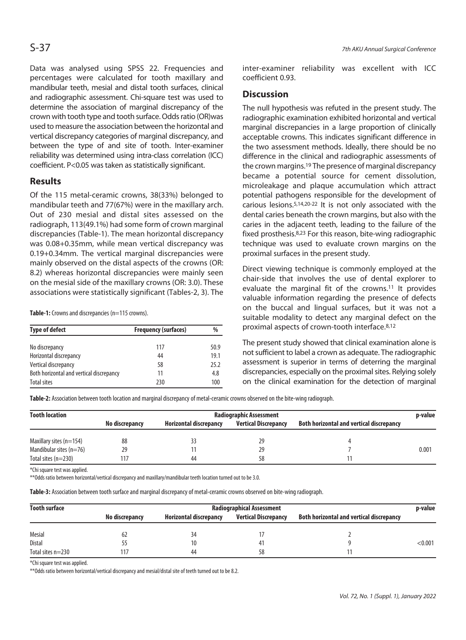Data was analysed using SPSS 22. Frequencies and percentages were calculated for tooth maxillary and mandibular teeth, mesial and distal tooth surfaces, clinical and radiographic assessment. Chi-square test was used to determine the association of marginal discrepancy of the crown with tooth type and tooth surface. Odds ratio (OR)was used to measure the association between the horizontal and vertical discrepancy categories of marginal discrepancy, and between the type of and site of tooth. Inter-examiner reliability was determined using intra-class correlation (ICC) coefficient. P<0.05 was taken as statistically significant.

### **Results**

Of the 115 metal-ceramic crowns, 38(33%) belonged to mandibular teeth and 77(67%) were in the maxillary arch. Out of 230 mesial and distal sites assessed on the radiograph, 113(49.1%) had some form of crown marginal discrepancies (Table-1). The mean horizontal discrepancy was 0.08+0.35mm, while mean vertical discrepancy was 0.19+0.34mm. The vertical marginal discrepancies were mainly observed on the distal aspects of the crowns (OR: 8.2) whereas horizontal discrepancies were mainly seen on the mesial side of the maxillary crowns (OR: 3.0). These associations were statistically significant (Tables-2, 3). The

Table-1: Crowns and discrepancies (n=115 crowns).

| <b>Type of defect</b>                    | <b>Frequency (surfaces)</b> | %    |  |
|------------------------------------------|-----------------------------|------|--|
| No discrepancy                           | 117                         | 50.9 |  |
| Horizontal discrepancy                   | 44                          | 19.1 |  |
| Vertical discrepancy                     | 58                          | 25.2 |  |
| Both horizontal and vertical discrepancy | 11                          | 4.8  |  |
| <b>Total sites</b>                       | 230                         | 100  |  |

inter-examiner reliability was excellent with ICC coefficient 0.93.

#### **Discussion**

The null hypothesis was refuted in the present study. The radiographic examination exhibited horizontal and vertical marginal discrepancies in a large proportion of clinically acceptable crowns. This indicates significant difference in the two assessment methods. Ideally, there should be no difference in the clinical and radiographic assessments of the crown margins.19 The presence of marginal discrepancy became a potential source for cement dissolution, microleakage and plaque accumulation which attract potential pathogens responsible for the development of carious lesions.5,14,20-22 It is not only associated with the dental caries beneath the crown margins, but also with the caries in the adjacent teeth, leading to the failure of the fixed prosthesis.8,23 For this reason, bite-wing radiographic technique was used to evaluate crown margins on the proximal surfaces in the present study.

Direct viewing technique is commonly employed at the chair-side that involves the use of dental explorer to evaluate the marginal fit of the crowns.11 It provides valuable information regarding the presence of defects on the buccal and lingual surfaces, but it was not a suitable modality to detect any marginal defect on the proximal aspects of crown-tooth interface.8,12

The present study showed that clinical examination alone is not sufficient to label a crown as adequate. The radiographic assessment is superior in terms of deterring the marginal discrepancies, especially on the proximal sites. Relying solely on the clinical examination for the detection of marginal

**Table-2:** Association between tooth location and marginal discrepancy of metal-ceramic crowns observed on the bite-wing radiograph.

| <b>Tooth location</b>     | <b>Radiographic Assessment</b> |                               |                             |                                          | p-value |
|---------------------------|--------------------------------|-------------------------------|-----------------------------|------------------------------------------|---------|
|                           | No discrepancy                 | <b>Horizontal discrepancy</b> | <b>Vertical Discrepancy</b> | Both horizontal and vertical discrepancy |         |
| Maxillary sites $(n=154)$ | 88                             |                               | 29                          |                                          |         |
| Mandibular sites $(n=76)$ | 29                             |                               | 29                          |                                          | 0.001   |
| Total sites $(n=230)$     | 17                             | 44                            | 58                          |                                          |         |

\*Chi square test was applied.

\*\*Odds ratio between horizontal/vertical discrepancy and maxillary/mandibular teeth location turned out to be 3.0.

**Table-3:** Association between tooth surface and marginal discrepancy of metal-ceramic crowns observed on bite-wing radiograph.

| <b>Tooth surface</b> | <b>Radiographical Assessment</b> |                               |                             |                                          |         |
|----------------------|----------------------------------|-------------------------------|-----------------------------|------------------------------------------|---------|
|                      | No discrepancy                   | <b>Horizontal discrepancy</b> | <b>Vertical Discrepancy</b> | Both horizontal and vertical discrepancy |         |
| <b>Mesial</b>        | 62                               | 34                            |                             |                                          |         |
| Distal               |                                  | 10                            | 41                          |                                          | < 0.001 |
| Total sites $n=230$  | 17                               | 44                            | 58                          |                                          |         |

\*Chi square test was applied.

\*\*Odds ratio between horizontal/vertical discrepancy and mesial/distal site of teeth turned out to be 8.2.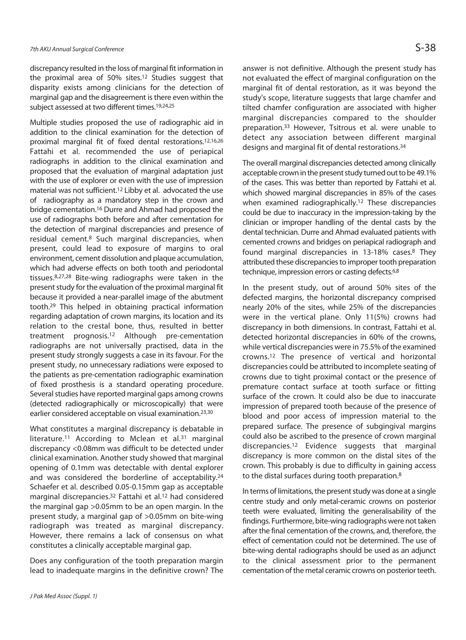discrepancy resulted in the loss of marginal fit information in the proximal area of 50% sites.12 Studies suggest that disparity exists among clinicians for the detection of marginal gap and the disagreement is there even within the subject assessed at two different times.<sup>19,24,25</sup>

Multiple studies proposed the use of radiographic aid in addition to the clinical examination for the detection of proximal marginal fit of fixed dental restorations.12,16,26 Fattahi et al. recommended the use of periapical radiographs in addition to the clinical examination and proposed that the evaluation of marginal adaptation just with the use of explorer or even with the use of impression material was not sufficient.12 Libby et al. advocated the use of radiography as a mandatory step in the crown and bridge cementation.16 Durre and Ahmad had proposed the use of radiographs both before and after cementation for the detection of marginal discrepancies and presence of residual cement.8 Such marginal discrepancies, when present, could lead to exposure of margins to oral environment, cement dissolution and plaque accumulation, which had adverse effects on both tooth and periodontal tissues.8,27,28 Bite-wing radiographs were taken in the present study for the evaluation of the proximal marginal fit because it provided a near-parallel image of the abutment tooth.29 This helped in obtaining practical information regarding adaptation of crown margins, its location and its relation to the crestal bone, thus, resulted in better treatment prognosis.12 Although pre-cementation radiographs are not universally practised, data in the present study strongly suggests a case in its favour. For the present study, no unnecessary radiations were exposed to the patients as pre-cementation radiographic examination of fixed prosthesis is a standard operating procedure. Several studies have reported marginal gaps among crowns (detected radiographically or microscopically) that were earlier considered acceptable on visual examination.23,30

What constitutes a marginal discrepancy is debatable in literature.<sup>11</sup> According to Mclean et al.<sup>31</sup> marginal discrepancy <0.08mm was difficult to be detected under clinical examination. Another study showed that marginal opening of 0.1mm was detectable with dental explorer and was considered the borderline of acceptability.24 Schaefer et al. described 0.05-0.15mm gap as acceptable marginal discrepancies.32 Fattahi et al.12 had considered the marginal gap >0.05mm to be an open margin. In the present study, a marginal gap of >0.05mm on bite-wing radiograph was treated as marginal discrepancy. However, there remains a lack of consensus on what constitutes a clinically acceptable marginal gap.

Does any configuration of the tooth preparation margin lead to inadequate margins in the definitive crown? The

answer is not definitive. Although the present study has not evaluated the effect of marginal configuration on the marginal fit of dental restoration, as it was beyond the study's scope, literature suggests that large chamfer and tilted chamfer configuration are associated with higher marginal discrepancies compared to the shoulder preparation.33 However, Tsitrous et al. were unable to detect any association between different marginal designs and marginal fit of dental restorations.34

The overall marginal discrepancies detected among clinically acceptable crown in the present study turned out to be 49.1% of the cases. This was better than reported by Fattahi et al. which showed marginal discrepancies in 85% of the cases when examined radiographically.12 These discrepancies could be due to inaccuracy in the impression-taking by the clinician or improper handling of the dental casts by the dental technician. Durre and Ahmad evaluated patients with cemented crowns and bridges on periapical radiograph and found marginal discrepancies in 13-18% cases.8 They attributed these discrepancies to improper tooth preparation technique, impression errors or casting defects.6,8

In the present study, out of around 50% sites of the defected margins, the horizontal discrepancy comprised nearly 20% of the sites, while 25% of the discrepancies were in the vertical plane. Only 11(5%) crowns had discrepancy in both dimensions. In contrast, Fattahi et al. detected horizontal discrepancies in 60% of the crowns, while vertical discrepancies were in 75.5% of the examined crowns.12 The presence of vertical and horizontal discrepancies could be attributed to incomplete seating of crowns due to tight proximal contact or the presence of premature contact surface at tooth surface or fitting surface of the crown. It could also be due to inaccurate impression of prepared tooth because of the presence of blood and poor access of impression material to the prepared surface. The presence of subgingival margins could also be ascribed to the presence of crown marginal discrepancies.12 Evidence suggests that marginal discrepancy is more common on the distal sites of the crown. This probably is due to difficulty in gaining access to the distal surfaces during tooth preparation.8

In terms of limitations, the present study was done at a single centre study and only metal-ceramic crowns on posterior teeth were evaluated, limiting the generalisability of the findings. Furthermore, bite-wing radiographs were not taken after the final cementation of the crowns, and, therefore, the effect of cementation could not be determined. The use of bite-wing dental radiographs should be used as an adjunct to the clinical assessment prior to the permanent cementation of the metal ceramic crowns on posterior teeth.